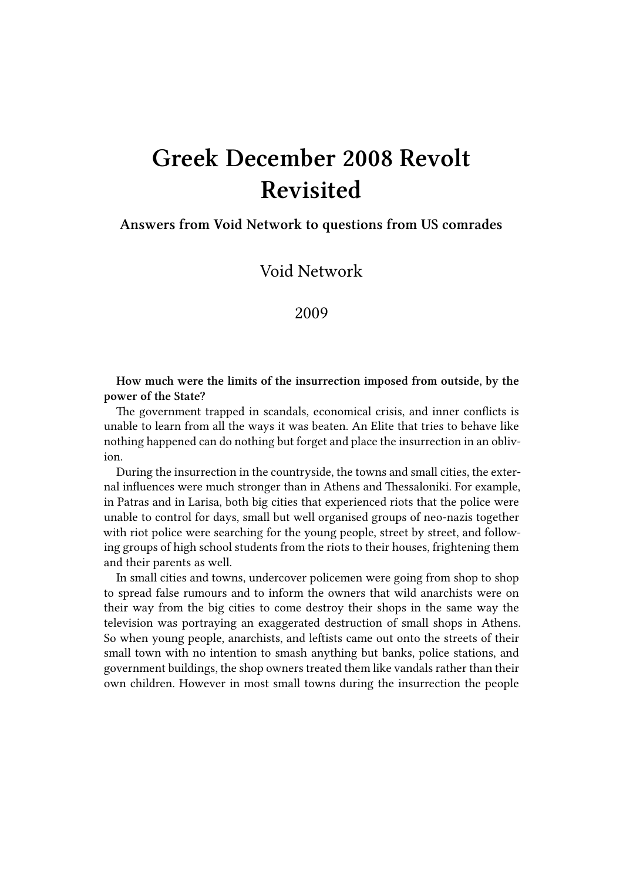# **Greek December 2008 Revolt Revisited**

## **Answers from Void Network to questions from US comrades**

Void Network

2009

**How much were the limits of the insurrection imposed from outside, by the power of the State?**

The government trapped in scandals, economical crisis, and inner conflicts is unable to learn from all the ways it was beaten. An Elite that tries to behave like nothing happened can do nothing but forget and place the insurrection in an oblivion.

During the insurrection in the countryside, the towns and small cities, the external influences were much stronger than in Athens and Thessaloniki. For example, in Patras and in Larisa, both big cities that experienced riots that the police were unable to control for days, small but well organised groups of neo-nazis together with riot police were searching for the young people, street by street, and following groups of high school students from the riots to their houses, frightening them and their parents as well.

In small cities and towns, undercover policemen were going from shop to shop to spread false rumours and to inform the owners that wild anarchists were on their way from the big cities to come destroy their shops in the same way the television was portraying an exaggerated destruction of small shops in Athens. So when young people, anarchists, and leftists came out onto the streets of their small town with no intention to smash anything but banks, police stations, and government buildings, the shop owners treated them like vandals rather than their own children. However in most small towns during the insurrection the people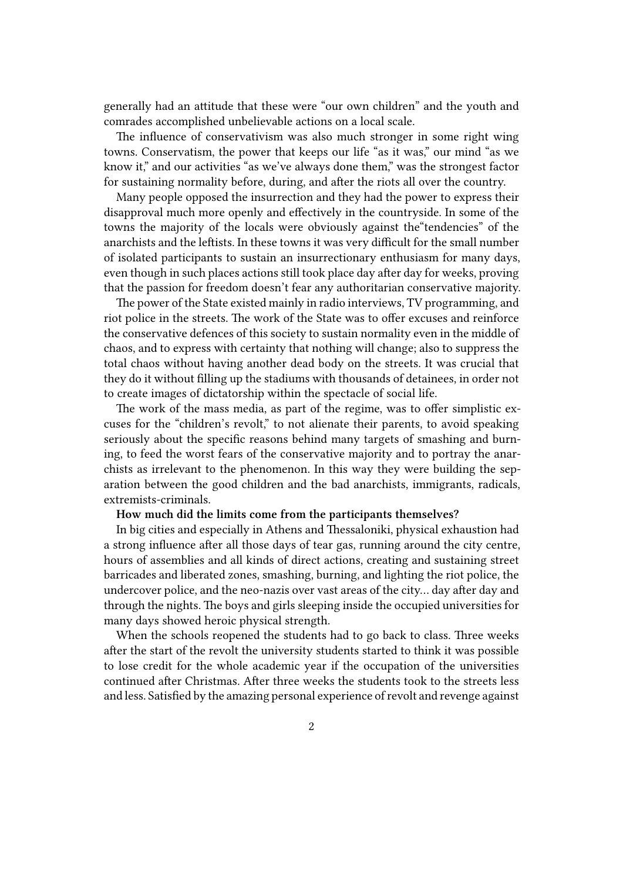generally had an attitude that these were "our own children" and the youth and comrades accomplished unbelievable actions on a local scale.

The influence of conservativism was also much stronger in some right wing towns. Conservatism, the power that keeps our life "as it was," our mind "as we know it," and our activities "as we've always done them," was the strongest factor for sustaining normality before, during, and after the riots all over the country.

Many people opposed the insurrection and they had the power to express their disapproval much more openly and effectively in the countryside. In some of the towns the majority of the locals were obviously against the"tendencies" of the anarchists and the leftists. In these towns it was very difficult for the small number of isolated participants to sustain an insurrectionary enthusiasm for many days, even though in such places actions still took place day after day for weeks, proving that the passion for freedom doesn't fear any authoritarian conservative majority.

The power of the State existed mainly in radio interviews, TV programming, and riot police in the streets. The work of the State was to offer excuses and reinforce the conservative defences of this society to sustain normality even in the middle of chaos, and to express with certainty that nothing will change; also to suppress the total chaos without having another dead body on the streets. It was crucial that they do it without filling up the stadiums with thousands of detainees, in order not to create images of dictatorship within the spectacle of social life.

The work of the mass media, as part of the regime, was to offer simplistic excuses for the "children's revolt," to not alienate their parents, to avoid speaking seriously about the specific reasons behind many targets of smashing and burning, to feed the worst fears of the conservative majority and to portray the anarchists as irrelevant to the phenomenon. In this way they were building the separation between the good children and the bad anarchists, immigrants, radicals, extremists-criminals.

## **How much did the limits come from the participants themselves?**

In big cities and especially in Athens and Thessaloniki, physical exhaustion had a strong influence after all those days of tear gas, running around the city centre, hours of assemblies and all kinds of direct actions, creating and sustaining street barricades and liberated zones, smashing, burning, and lighting the riot police, the undercover police, and the neo-nazis over vast areas of the city… day after day and through the nights. The boys and girls sleeping inside the occupied universities for many days showed heroic physical strength.

When the schools reopened the students had to go back to class. Three weeks after the start of the revolt the university students started to think it was possible to lose credit for the whole academic year if the occupation of the universities continued after Christmas. After three weeks the students took to the streets less and less. Satisfied by the amazing personal experience of revolt and revenge against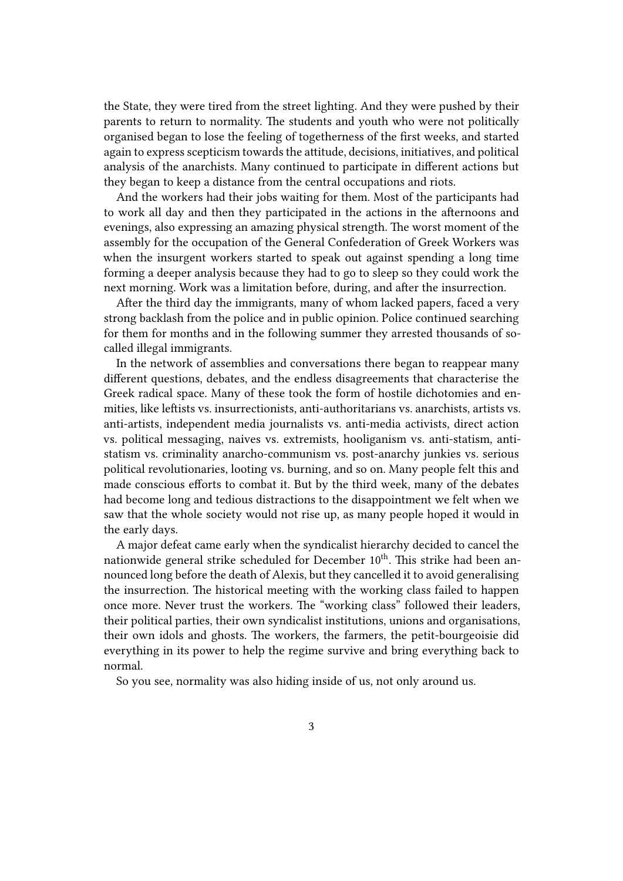the State, they were tired from the street lighting. And they were pushed by their parents to return to normality. The students and youth who were not politically organised began to lose the feeling of togetherness of the first weeks, and started again to express scepticism towards the attitude, decisions, initiatives, and political analysis of the anarchists. Many continued to participate in different actions but they began to keep a distance from the central occupations and riots.

And the workers had their jobs waiting for them. Most of the participants had to work all day and then they participated in the actions in the afternoons and evenings, also expressing an amazing physical strength. The worst moment of the assembly for the occupation of the General Confederation of Greek Workers was when the insurgent workers started to speak out against spending a long time forming a deeper analysis because they had to go to sleep so they could work the next morning. Work was a limitation before, during, and after the insurrection.

After the third day the immigrants, many of whom lacked papers, faced a very strong backlash from the police and in public opinion. Police continued searching for them for months and in the following summer they arrested thousands of socalled illegal immigrants.

In the network of assemblies and conversations there began to reappear many different questions, debates, and the endless disagreements that characterise the Greek radical space. Many of these took the form of hostile dichotomies and enmities, like leftists vs. insurrectionists, anti-authoritarians vs. anarchists, artists vs. anti-artists, independent media journalists vs. anti-media activists, direct action vs. political messaging, naives vs. extremists, hooliganism vs. anti-statism, antistatism vs. criminality anarcho-communism vs. post-anarchy junkies vs. serious political revolutionaries, looting vs. burning, and so on. Many people felt this and made conscious efforts to combat it. But by the third week, many of the debates had become long and tedious distractions to the disappointment we felt when we saw that the whole society would not rise up, as many people hoped it would in the early days.

A major defeat came early when the syndicalist hierarchy decided to cancel the nationwide general strike scheduled for December 10<sup>th</sup>. This strike had been announced long before the death of Alexis, but they cancelled it to avoid generalising the insurrection. The historical meeting with the working class failed to happen once more. Never trust the workers. The "working class" followed their leaders, their political parties, their own syndicalist institutions, unions and organisations, their own idols and ghosts. The workers, the farmers, the petit-bourgeoisie did everything in its power to help the regime survive and bring everything back to normal.

So you see, normality was also hiding inside of us, not only around us.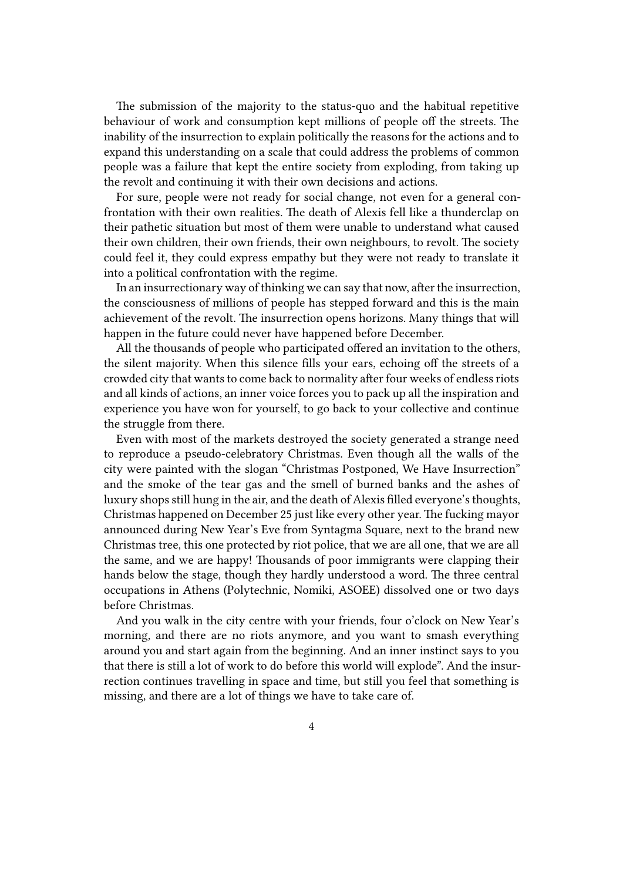The submission of the majority to the status-quo and the habitual repetitive behaviour of work and consumption kept millions of people off the streets. The inability of the insurrection to explain politically the reasons for the actions and to expand this understanding on a scale that could address the problems of common people was a failure that kept the entire society from exploding, from taking up the revolt and continuing it with their own decisions and actions.

For sure, people were not ready for social change, not even for a general confrontation with their own realities. The death of Alexis fell like a thunderclap on their pathetic situation but most of them were unable to understand what caused their own children, their own friends, their own neighbours, to revolt. The society could feel it, they could express empathy but they were not ready to translate it into a political confrontation with the regime.

In an insurrectionary way of thinking we can say that now, after the insurrection, the consciousness of millions of people has stepped forward and this is the main achievement of the revolt. The insurrection opens horizons. Many things that will happen in the future could never have happened before December.

All the thousands of people who participated offered an invitation to the others, the silent majority. When this silence fills your ears, echoing off the streets of a crowded city that wants to come back to normality after four weeks of endless riots and all kinds of actions, an inner voice forces you to pack up all the inspiration and experience you have won for yourself, to go back to your collective and continue the struggle from there.

Even with most of the markets destroyed the society generated a strange need to reproduce a pseudo-celebratory Christmas. Even though all the walls of the city were painted with the slogan "Christmas Postponed, We Have Insurrection" and the smoke of the tear gas and the smell of burned banks and the ashes of luxury shops still hung in the air, and the death of Alexis filled everyone's thoughts, Christmas happened on December 25 just like every other year. The fucking mayor announced during New Year's Eve from Syntagma Square, next to the brand new Christmas tree, this one protected by riot police, that we are all one, that we are all the same, and we are happy! Thousands of poor immigrants were clapping their hands below the stage, though they hardly understood a word. The three central occupations in Athens (Polytechnic, Nomiki, ASOEE) dissolved one or two days before Christmas.

And you walk in the city centre with your friends, four o'clock on New Year's morning, and there are no riots anymore, and you want to smash everything around you and start again from the beginning. And an inner instinct says to you that there is still a lot of work to do before this world will explode". And the insurrection continues travelling in space and time, but still you feel that something is missing, and there are a lot of things we have to take care of.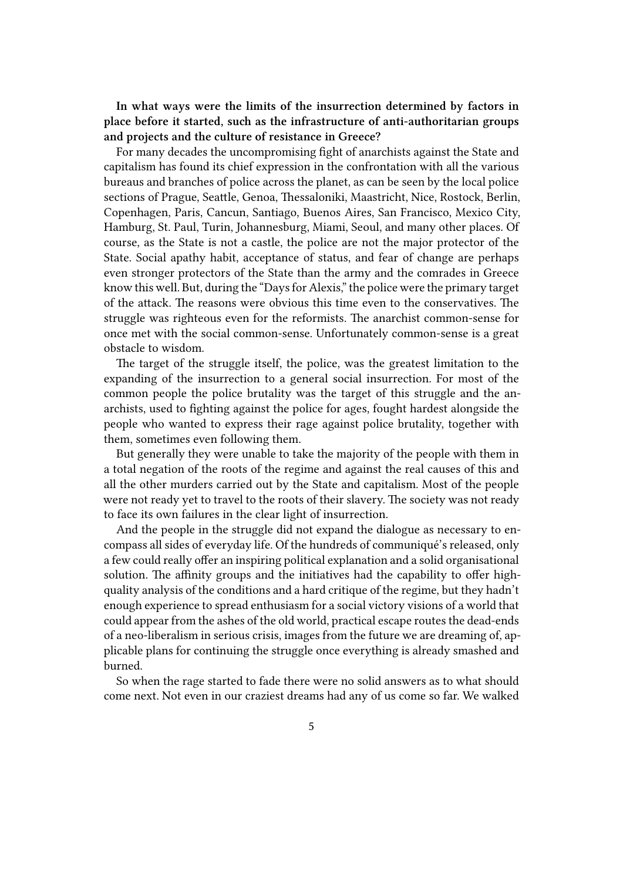**In what ways were the limits of the insurrection determined by factors in place before it started, such as the infrastructure of anti-authoritarian groups and projects and the culture of resistance in Greece?**

For many decades the uncompromising fight of anarchists against the State and capitalism has found its chief expression in the confrontation with all the various bureaus and branches of police across the planet, as can be seen by the local police sections of Prague, Seattle, Genoa, Thessaloniki, Maastricht, Nice, Rostock, Berlin, Copenhagen, Paris, Cancun, Santiago, Buenos Aires, San Francisco, Mexico City, Hamburg, St. Paul, Turin, Johannesburg, Miami, Seoul, and many other places. Of course, as the State is not a castle, the police are not the major protector of the State. Social apathy habit, acceptance of status, and fear of change are perhaps even stronger protectors of the State than the army and the comrades in Greece know this well. But, during the "Days for Alexis," the police were the primary target of the attack. The reasons were obvious this time even to the conservatives. The struggle was righteous even for the reformists. The anarchist common-sense for once met with the social common-sense. Unfortunately common-sense is a great obstacle to wisdom.

The target of the struggle itself, the police, was the greatest limitation to the expanding of the insurrection to a general social insurrection. For most of the common people the police brutality was the target of this struggle and the anarchists, used to fighting against the police for ages, fought hardest alongside the people who wanted to express their rage against police brutality, together with them, sometimes even following them.

But generally they were unable to take the majority of the people with them in a total negation of the roots of the regime and against the real causes of this and all the other murders carried out by the State and capitalism. Most of the people were not ready yet to travel to the roots of their slavery. The society was not ready to face its own failures in the clear light of insurrection.

And the people in the struggle did not expand the dialogue as necessary to encompass all sides of everyday life. Of the hundreds of communiqué's released, only a few could really offer an inspiring political explanation and a solid organisational solution. The affinity groups and the initiatives had the capability to offer highquality analysis of the conditions and a hard critique of the regime, but they hadn't enough experience to spread enthusiasm for a social victory visions of a world that could appear from the ashes of the old world, practical escape routes the dead-ends of a neo-liberalism in serious crisis, images from the future we are dreaming of, applicable plans for continuing the struggle once everything is already smashed and burned.

So when the rage started to fade there were no solid answers as to what should come next. Not even in our craziest dreams had any of us come so far. We walked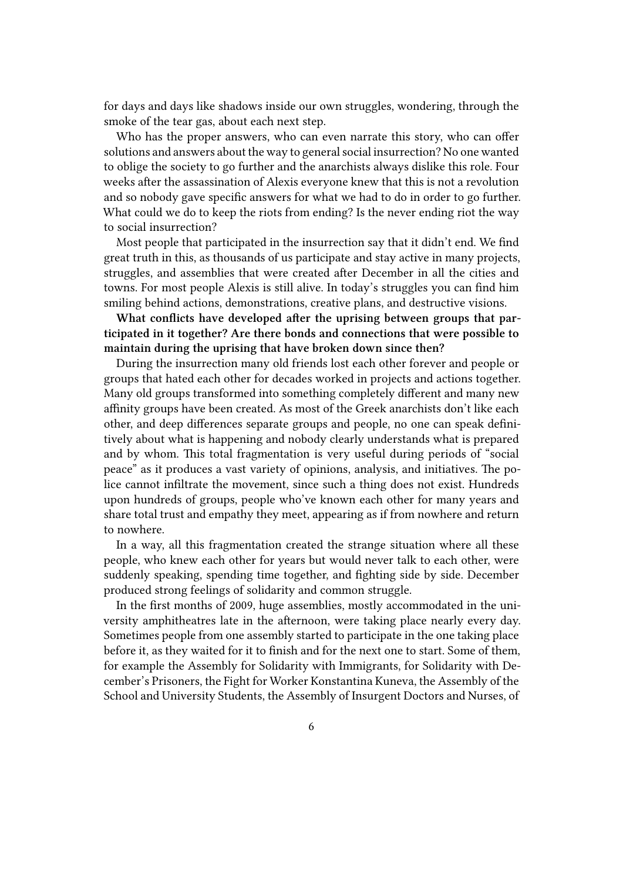for days and days like shadows inside our own struggles, wondering, through the smoke of the tear gas, about each next step.

Who has the proper answers, who can even narrate this story, who can offer solutions and answers about the way to general social insurrection? No one wanted to oblige the society to go further and the anarchists always dislike this role. Four weeks after the assassination of Alexis everyone knew that this is not a revolution and so nobody gave specific answers for what we had to do in order to go further. What could we do to keep the riots from ending? Is the never ending riot the way to social insurrection?

Most people that participated in the insurrection say that it didn't end. We find great truth in this, as thousands of us participate and stay active in many projects, struggles, and assemblies that were created after December in all the cities and towns. For most people Alexis is still alive. In today's struggles you can find him smiling behind actions, demonstrations, creative plans, and destructive visions.

**What conflicts have developed after the uprising between groups that participated in it together? Are there bonds and connections that were possible to maintain during the uprising that have broken down since then?**

During the insurrection many old friends lost each other forever and people or groups that hated each other for decades worked in projects and actions together. Many old groups transformed into something completely different and many new affinity groups have been created. As most of the Greek anarchists don't like each other, and deep differences separate groups and people, no one can speak definitively about what is happening and nobody clearly understands what is prepared and by whom. This total fragmentation is very useful during periods of "social peace" as it produces a vast variety of opinions, analysis, and initiatives. The police cannot infiltrate the movement, since such a thing does not exist. Hundreds upon hundreds of groups, people who've known each other for many years and share total trust and empathy they meet, appearing as if from nowhere and return to nowhere.

In a way, all this fragmentation created the strange situation where all these people, who knew each other for years but would never talk to each other, were suddenly speaking, spending time together, and fighting side by side. December produced strong feelings of solidarity and common struggle.

In the first months of 2009, huge assemblies, mostly accommodated in the university amphitheatres late in the afternoon, were taking place nearly every day. Sometimes people from one assembly started to participate in the one taking place before it, as they waited for it to finish and for the next one to start. Some of them, for example the Assembly for Solidarity with Immigrants, for Solidarity with December's Prisoners, the Fight for Worker Konstantina Kuneva, the Assembly of the School and University Students, the Assembly of Insurgent Doctors and Nurses, of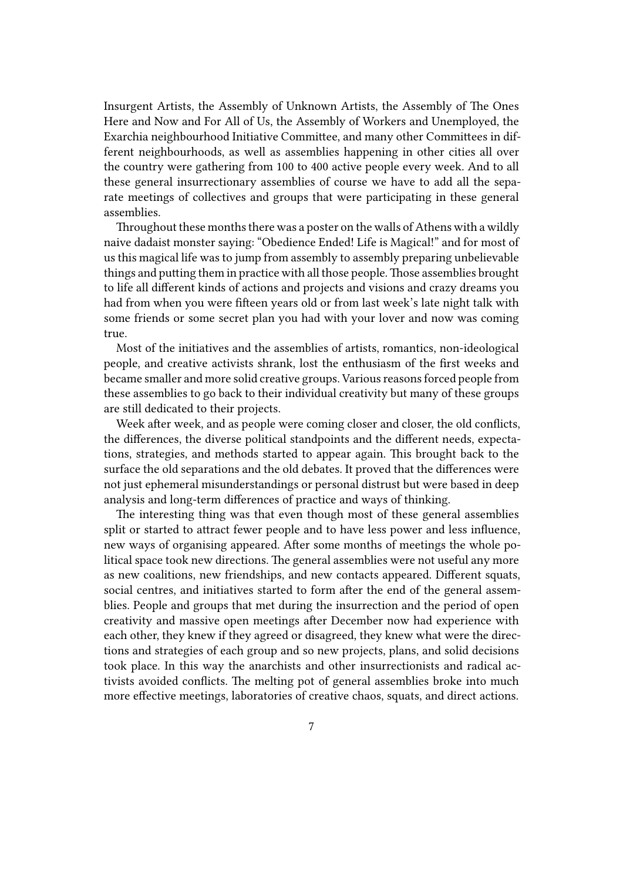Insurgent Artists, the Assembly of Unknown Artists, the Assembly of The Ones Here and Now and For All of Us, the Assembly of Workers and Unemployed, the Exarchia neighbourhood Initiative Committee, and many other Committees in different neighbourhoods, as well as assemblies happening in other cities all over the country were gathering from 100 to 400 active people every week. And to all these general insurrectionary assemblies of course we have to add all the separate meetings of collectives and groups that were participating in these general assemblies.

Throughout these months there was a poster on the walls of Athens with a wildly naive dadaist monster saying: "Obedience Ended! Life is Magical!" and for most of us this magical life was to jump from assembly to assembly preparing unbelievable things and putting them in practice with all those people.Those assemblies brought to life all different kinds of actions and projects and visions and crazy dreams you had from when you were fifteen years old or from last week's late night talk with some friends or some secret plan you had with your lover and now was coming true.

Most of the initiatives and the assemblies of artists, romantics, non-ideological people, and creative activists shrank, lost the enthusiasm of the first weeks and became smaller and more solid creative groups. Various reasons forced people from these assemblies to go back to their individual creativity but many of these groups are still dedicated to their projects.

Week after week, and as people were coming closer and closer, the old conflicts, the differences, the diverse political standpoints and the different needs, expectations, strategies, and methods started to appear again. This brought back to the surface the old separations and the old debates. It proved that the differences were not just ephemeral misunderstandings or personal distrust but were based in deep analysis and long-term differences of practice and ways of thinking.

The interesting thing was that even though most of these general assemblies split or started to attract fewer people and to have less power and less influence, new ways of organising appeared. After some months of meetings the whole political space took new directions. The general assemblies were not useful any more as new coalitions, new friendships, and new contacts appeared. Different squats, social centres, and initiatives started to form after the end of the general assemblies. People and groups that met during the insurrection and the period of open creativity and massive open meetings after December now had experience with each other, they knew if they agreed or disagreed, they knew what were the directions and strategies of each group and so new projects, plans, and solid decisions took place. In this way the anarchists and other insurrectionists and radical activists avoided conflicts. The melting pot of general assemblies broke into much more effective meetings, laboratories of creative chaos, squats, and direct actions.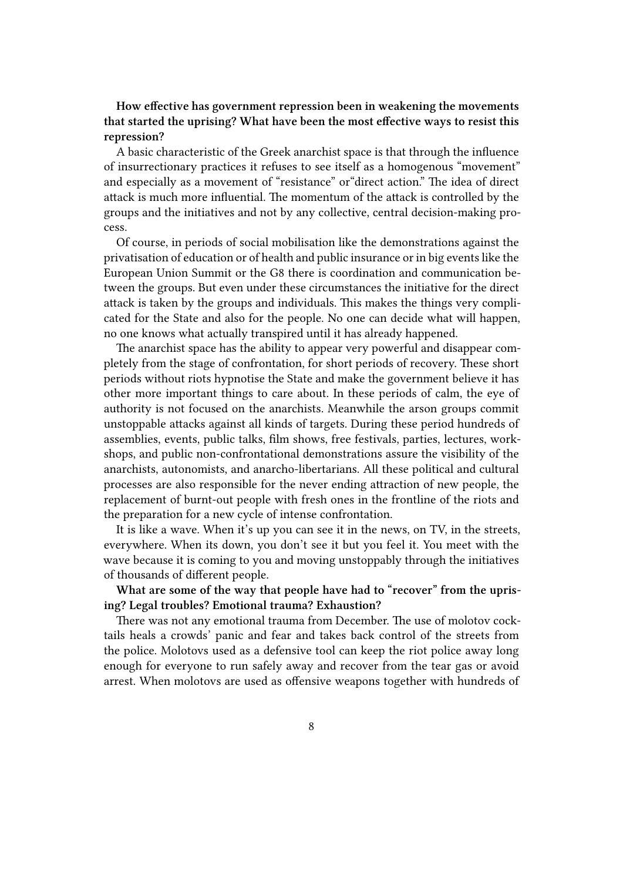## **How effective has government repression been in weakening the movements that started the uprising? What have been the most effective ways to resist this repression?**

A basic characteristic of the Greek anarchist space is that through the influence of insurrectionary practices it refuses to see itself as a homogenous "movement" and especially as a movement of "resistance" or"direct action." The idea of direct attack is much more influential. The momentum of the attack is controlled by the groups and the initiatives and not by any collective, central decision-making process.

Of course, in periods of social mobilisation like the demonstrations against the privatisation of education or of health and public insurance or in big events like the European Union Summit or the G8 there is coordination and communication between the groups. But even under these circumstances the initiative for the direct attack is taken by the groups and individuals. This makes the things very complicated for the State and also for the people. No one can decide what will happen, no one knows what actually transpired until it has already happened.

The anarchist space has the ability to appear very powerful and disappear completely from the stage of confrontation, for short periods of recovery. These short periods without riots hypnotise the State and make the government believe it has other more important things to care about. In these periods of calm, the eye of authority is not focused on the anarchists. Meanwhile the arson groups commit unstoppable attacks against all kinds of targets. During these period hundreds of assemblies, events, public talks, film shows, free festivals, parties, lectures, workshops, and public non-confrontational demonstrations assure the visibility of the anarchists, autonomists, and anarcho-libertarians. All these political and cultural processes are also responsible for the never ending attraction of new people, the replacement of burnt-out people with fresh ones in the frontline of the riots and the preparation for a new cycle of intense confrontation.

It is like a wave. When it's up you can see it in the news, on TV, in the streets, everywhere. When its down, you don't see it but you feel it. You meet with the wave because it is coming to you and moving unstoppably through the initiatives of thousands of different people.

**What are some of the way that people have had to "recover" from the uprising? Legal troubles? Emotional trauma? Exhaustion?**

There was not any emotional trauma from December. The use of molotov cocktails heals a crowds' panic and fear and takes back control of the streets from the police. Molotovs used as a defensive tool can keep the riot police away long enough for everyone to run safely away and recover from the tear gas or avoid arrest. When molotovs are used as offensive weapons together with hundreds of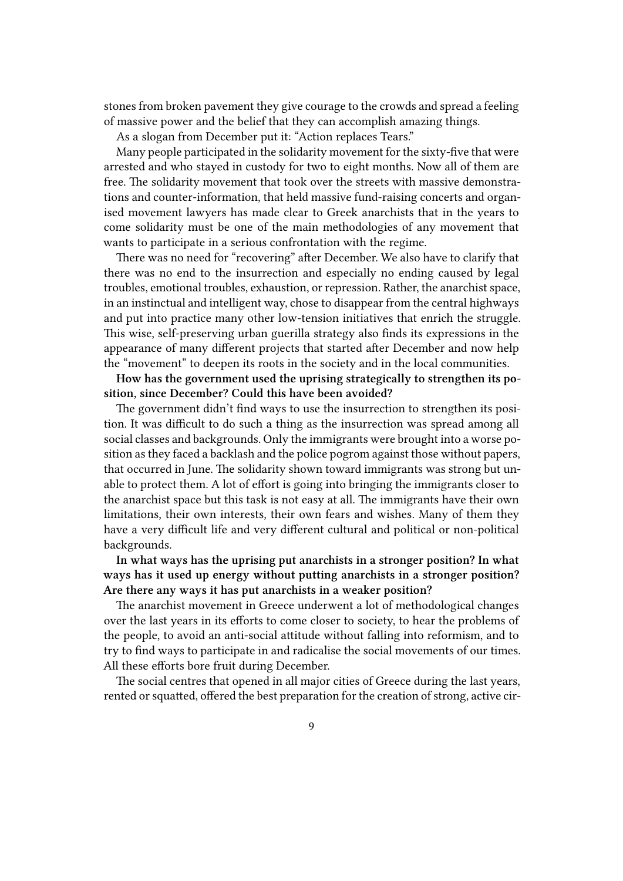stones from broken pavement they give courage to the crowds and spread a feeling of massive power and the belief that they can accomplish amazing things.

As a slogan from December put it: "Action replaces Tears."

Many people participated in the solidarity movement for the sixty-five that were arrested and who stayed in custody for two to eight months. Now all of them are free. The solidarity movement that took over the streets with massive demonstrations and counter-information, that held massive fund-raising concerts and organised movement lawyers has made clear to Greek anarchists that in the years to come solidarity must be one of the main methodologies of any movement that wants to participate in a serious confrontation with the regime.

There was no need for "recovering" after December. We also have to clarify that there was no end to the insurrection and especially no ending caused by legal troubles, emotional troubles, exhaustion, or repression. Rather, the anarchist space, in an instinctual and intelligent way, chose to disappear from the central highways and put into practice many other low-tension initiatives that enrich the struggle. This wise, self-preserving urban guerilla strategy also finds its expressions in the appearance of many different projects that started after December and now help the "movement" to deepen its roots in the society and in the local communities.

**How has the government used the uprising strategically to strengthen its position, since December? Could this have been avoided?**

The government didn't find ways to use the insurrection to strengthen its position. It was difficult to do such a thing as the insurrection was spread among all social classes and backgrounds. Only the immigrants were brought into a worse position as they faced a backlash and the police pogrom against those without papers, that occurred in June. The solidarity shown toward immigrants was strong but unable to protect them. A lot of effort is going into bringing the immigrants closer to the anarchist space but this task is not easy at all. The immigrants have their own limitations, their own interests, their own fears and wishes. Many of them they have a very difficult life and very different cultural and political or non-political backgrounds.

**In what ways has the uprising put anarchists in a stronger position? In what ways has it used up energy without putting anarchists in a stronger position? Are there any ways it has put anarchists in a weaker position?**

The anarchist movement in Greece underwent a lot of methodological changes over the last years in its efforts to come closer to society, to hear the problems of the people, to avoid an anti-social attitude without falling into reformism, and to try to find ways to participate in and radicalise the social movements of our times. All these efforts bore fruit during December.

The social centres that opened in all major cities of Greece during the last years, rented or squatted, offered the best preparation for the creation of strong, active cir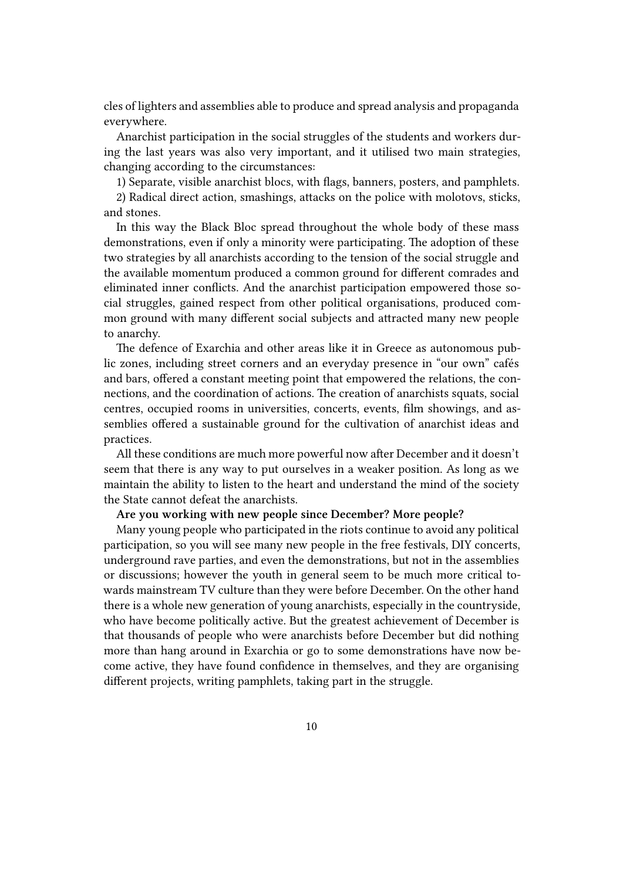cles of lighters and assemblies able to produce and spread analysis and propaganda everywhere.

Anarchist participation in the social struggles of the students and workers during the last years was also very important, and it utilised two main strategies, changing according to the circumstances:

1) Separate, visible anarchist blocs, with flags, banners, posters, and pamphlets.

2) Radical direct action, smashings, attacks on the police with molotovs, sticks, and stones.

In this way the Black Bloc spread throughout the whole body of these mass demonstrations, even if only a minority were participating. The adoption of these two strategies by all anarchists according to the tension of the social struggle and the available momentum produced a common ground for different comrades and eliminated inner conflicts. And the anarchist participation empowered those social struggles, gained respect from other political organisations, produced common ground with many different social subjects and attracted many new people to anarchy.

The defence of Exarchia and other areas like it in Greece as autonomous public zones, including street corners and an everyday presence in "our own" cafés and bars, offered a constant meeting point that empowered the relations, the connections, and the coordination of actions. The creation of anarchists squats, social centres, occupied rooms in universities, concerts, events, film showings, and assemblies offered a sustainable ground for the cultivation of anarchist ideas and practices.

All these conditions are much more powerful now after December and it doesn't seem that there is any way to put ourselves in a weaker position. As long as we maintain the ability to listen to the heart and understand the mind of the society the State cannot defeat the anarchists.

## **Are you working with new people since December? More people?**

Many young people who participated in the riots continue to avoid any political participation, so you will see many new people in the free festivals, DIY concerts, underground rave parties, and even the demonstrations, but not in the assemblies or discussions; however the youth in general seem to be much more critical towards mainstream TV culture than they were before December. On the other hand there is a whole new generation of young anarchists, especially in the countryside, who have become politically active. But the greatest achievement of December is that thousands of people who were anarchists before December but did nothing more than hang around in Exarchia or go to some demonstrations have now become active, they have found confidence in themselves, and they are organising different projects, writing pamphlets, taking part in the struggle.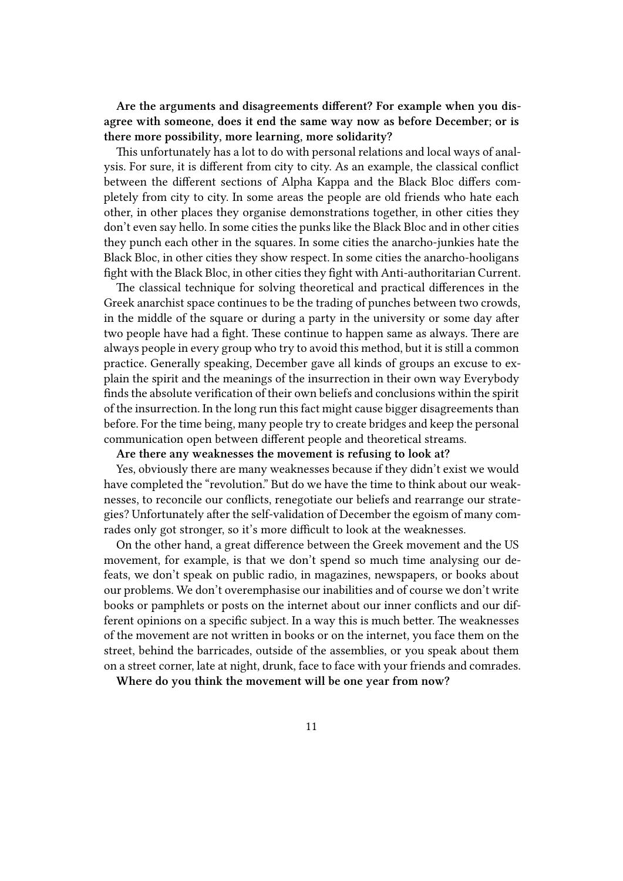**Are the arguments and disagreements different? For example when you disagree with someone, does it end the same way now as before December; or is there more possibility, more learning, more solidarity?**

This unfortunately has a lot to do with personal relations and local ways of analysis. For sure, it is different from city to city. As an example, the classical conflict between the different sections of Alpha Kappa and the Black Bloc differs completely from city to city. In some areas the people are old friends who hate each other, in other places they organise demonstrations together, in other cities they don't even say hello. In some cities the punks like the Black Bloc and in other cities they punch each other in the squares. In some cities the anarcho-junkies hate the Black Bloc, in other cities they show respect. In some cities the anarcho-hooligans fight with the Black Bloc, in other cities they fight with Anti-authoritarian Current.

The classical technique for solving theoretical and practical differences in the Greek anarchist space continues to be the trading of punches between two crowds, in the middle of the square or during a party in the university or some day after two people have had a fight. These continue to happen same as always. There are always people in every group who try to avoid this method, but it is still a common practice. Generally speaking, December gave all kinds of groups an excuse to explain the spirit and the meanings of the insurrection in their own way Everybody finds the absolute verification of their own beliefs and conclusions within the spirit of the insurrection. In the long run this fact might cause bigger disagreements than before. For the time being, many people try to create bridges and keep the personal communication open between different people and theoretical streams.

**Are there any weaknesses the movement is refusing to look at?**

Yes, obviously there are many weaknesses because if they didn't exist we would have completed the "revolution." But do we have the time to think about our weaknesses, to reconcile our conflicts, renegotiate our beliefs and rearrange our strategies? Unfortunately after the self-validation of December the egoism of many comrades only got stronger, so it's more difficult to look at the weaknesses.

On the other hand, a great difference between the Greek movement and the US movement, for example, is that we don't spend so much time analysing our defeats, we don't speak on public radio, in magazines, newspapers, or books about our problems. We don't overemphasise our inabilities and of course we don't write books or pamphlets or posts on the internet about our inner conflicts and our different opinions on a specific subject. In a way this is much better. The weaknesses of the movement are not written in books or on the internet, you face them on the street, behind the barricades, outside of the assemblies, or you speak about them on a street corner, late at night, drunk, face to face with your friends and comrades.

**Where do you think the movement will be one year from now?**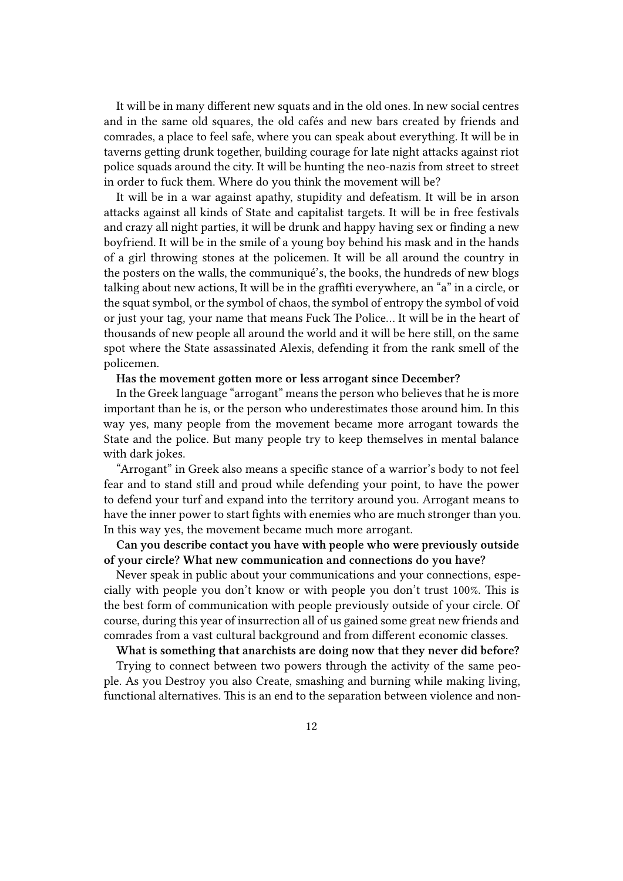It will be in many different new squats and in the old ones. In new social centres and in the same old squares, the old cafés and new bars created by friends and comrades, a place to feel safe, where you can speak about everything. It will be in taverns getting drunk together, building courage for late night attacks against riot police squads around the city. It will be hunting the neo-nazis from street to street in order to fuck them. Where do you think the movement will be?

It will be in a war against apathy, stupidity and defeatism. It will be in arson attacks against all kinds of State and capitalist targets. It will be in free festivals and crazy all night parties, it will be drunk and happy having sex or finding a new boyfriend. It will be in the smile of a young boy behind his mask and in the hands of a girl throwing stones at the policemen. It will be all around the country in the posters on the walls, the communiqué's, the books, the hundreds of new blogs talking about new actions, It will be in the graffiti everywhere, an "a" in a circle, or the squat symbol, or the symbol of chaos, the symbol of entropy the symbol of void or just your tag, your name that means Fuck The Police… It will be in the heart of thousands of new people all around the world and it will be here still, on the same spot where the State assassinated Alexis, defending it from the rank smell of the policemen.

#### **Has the movement gotten more or less arrogant since December?**

In the Greek language "arrogant" means the person who believes that he is more important than he is, or the person who underestimates those around him. In this way yes, many people from the movement became more arrogant towards the State and the police. But many people try to keep themselves in mental balance with dark jokes.

"Arrogant" in Greek also means a specific stance of a warrior's body to not feel fear and to stand still and proud while defending your point, to have the power to defend your turf and expand into the territory around you. Arrogant means to have the inner power to start fights with enemies who are much stronger than you. In this way yes, the movement became much more arrogant.

**Can you describe contact you have with people who were previously outside of your circle? What new communication and connections do you have?**

Never speak in public about your communications and your connections, especially with people you don't know or with people you don't trust 100%. This is the best form of communication with people previously outside of your circle. Of course, during this year of insurrection all of us gained some great new friends and comrades from a vast cultural background and from different economic classes.

**What is something that anarchists are doing now that they never did before?**

Trying to connect between two powers through the activity of the same people. As you Destroy you also Create, smashing and burning while making living, functional alternatives. This is an end to the separation between violence and non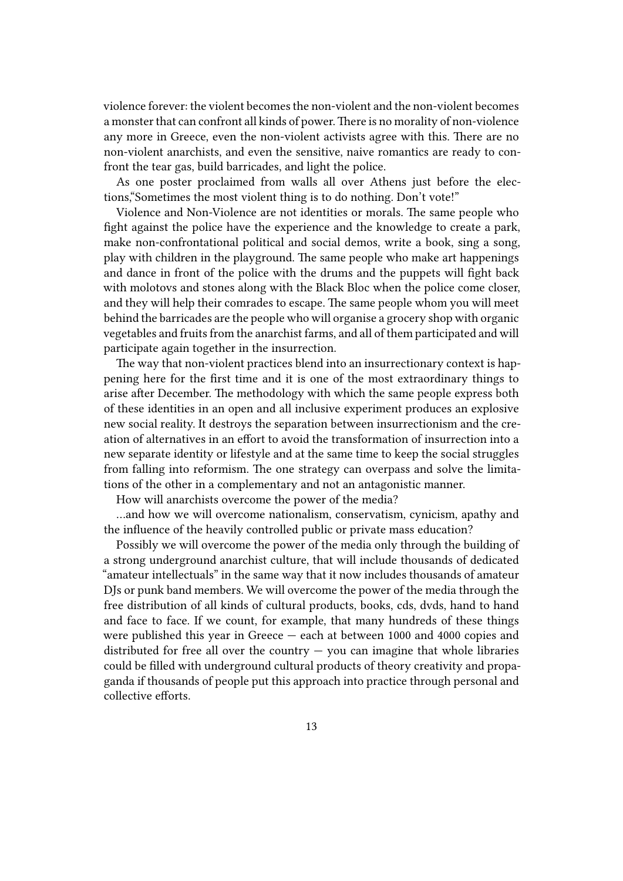violence forever: the violent becomes the non-violent and the non-violent becomes a monster that can confront all kinds of power.There is no morality of non-violence any more in Greece, even the non-violent activists agree with this. There are no non-violent anarchists, and even the sensitive, naive romantics are ready to confront the tear gas, build barricades, and light the police.

As one poster proclaimed from walls all over Athens just before the elections,"Sometimes the most violent thing is to do nothing. Don't vote!"

Violence and Non-Violence are not identities or morals. The same people who fight against the police have the experience and the knowledge to create a park, make non-confrontational political and social demos, write a book, sing a song, play with children in the playground. The same people who make art happenings and dance in front of the police with the drums and the puppets will fight back with molotovs and stones along with the Black Bloc when the police come closer, and they will help their comrades to escape. The same people whom you will meet behind the barricades are the people who will organise a grocery shop with organic vegetables and fruits from the anarchist farms, and all of them participated and will participate again together in the insurrection.

The way that non-violent practices blend into an insurrectionary context is happening here for the first time and it is one of the most extraordinary things to arise after December. The methodology with which the same people express both of these identities in an open and all inclusive experiment produces an explosive new social reality. It destroys the separation between insurrectionism and the creation of alternatives in an effort to avoid the transformation of insurrection into a new separate identity or lifestyle and at the same time to keep the social struggles from falling into reformism. The one strategy can overpass and solve the limitations of the other in a complementary and not an antagonistic manner.

How will anarchists overcome the power of the media?

…and how we will overcome nationalism, conservatism, cynicism, apathy and the influence of the heavily controlled public or private mass education?

Possibly we will overcome the power of the media only through the building of a strong underground anarchist culture, that will include thousands of dedicated "amateur intellectuals" in the same way that it now includes thousands of amateur DJs or punk band members. We will overcome the power of the media through the free distribution of all kinds of cultural products, books, cds, dvds, hand to hand and face to face. If we count, for example, that many hundreds of these things were published this year in Greece — each at between 1000 and 4000 copies and distributed for free all over the country  $-$  you can imagine that whole libraries could be filled with underground cultural products of theory creativity and propaganda if thousands of people put this approach into practice through personal and collective efforts.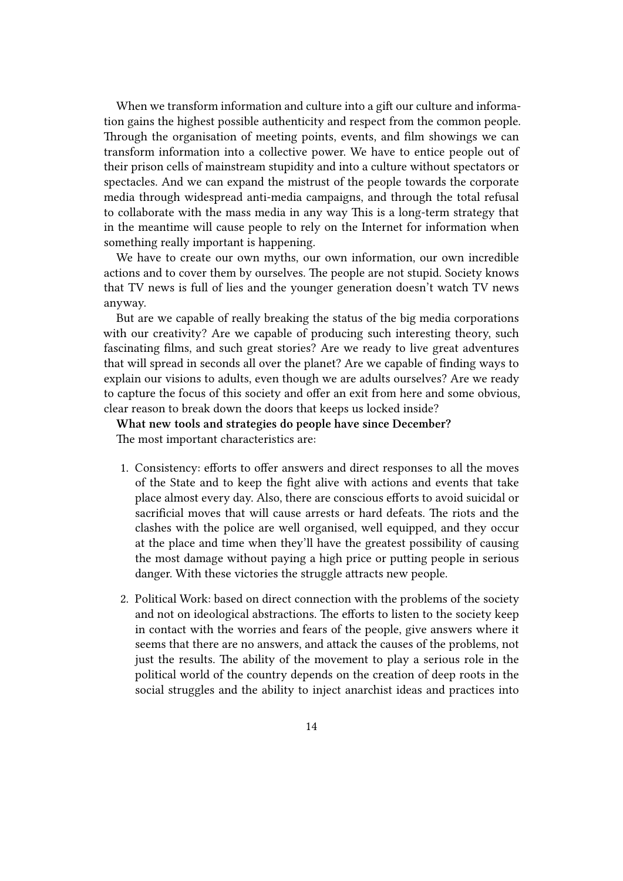When we transform information and culture into a gift our culture and information gains the highest possible authenticity and respect from the common people. Through the organisation of meeting points, events, and film showings we can transform information into a collective power. We have to entice people out of their prison cells of mainstream stupidity and into a culture without spectators or spectacles. And we can expand the mistrust of the people towards the corporate media through widespread anti-media campaigns, and through the total refusal to collaborate with the mass media in any way This is a long-term strategy that in the meantime will cause people to rely on the Internet for information when something really important is happening.

We have to create our own myths, our own information, our own incredible actions and to cover them by ourselves. The people are not stupid. Society knows that TV news is full of lies and the younger generation doesn't watch TV news anyway.

But are we capable of really breaking the status of the big media corporations with our creativity? Are we capable of producing such interesting theory, such fascinating films, and such great stories? Are we ready to live great adventures that will spread in seconds all over the planet? Are we capable of finding ways to explain our visions to adults, even though we are adults ourselves? Are we ready to capture the focus of this society and offer an exit from here and some obvious, clear reason to break down the doors that keeps us locked inside?

**What new tools and strategies do people have since December?** The most important characteristics are:

- 1. Consistency: efforts to offer answers and direct responses to all the moves of the State and to keep the fight alive with actions and events that take place almost every day. Also, there are conscious efforts to avoid suicidal or sacrificial moves that will cause arrests or hard defeats. The riots and the clashes with the police are well organised, well equipped, and they occur at the place and time when they'll have the greatest possibility of causing the most damage without paying a high price or putting people in serious danger. With these victories the struggle attracts new people.
- 2. Political Work: based on direct connection with the problems of the society and not on ideological abstractions. The efforts to listen to the society keep in contact with the worries and fears of the people, give answers where it seems that there are no answers, and attack the causes of the problems, not just the results. The ability of the movement to play a serious role in the political world of the country depends on the creation of deep roots in the social struggles and the ability to inject anarchist ideas and practices into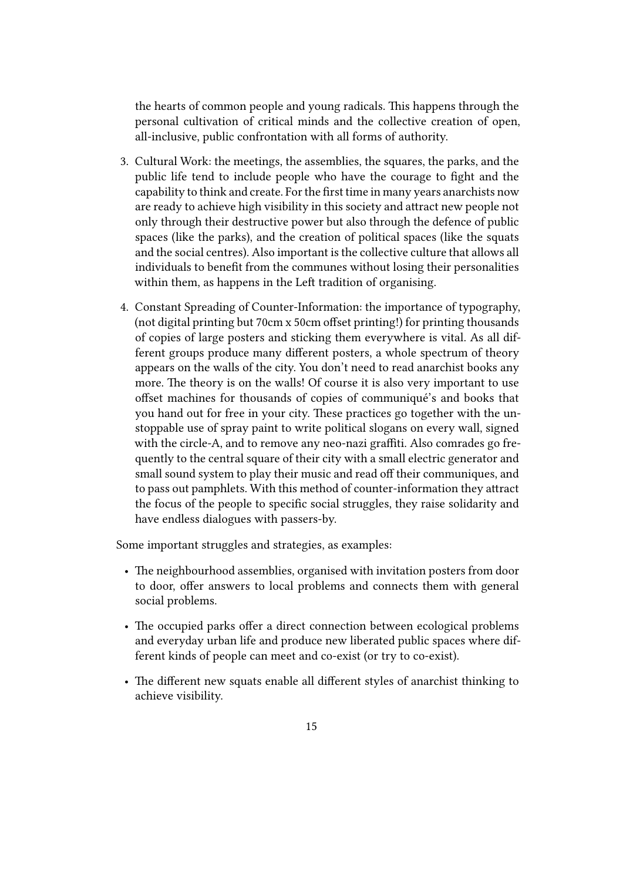the hearts of common people and young radicals. This happens through the personal cultivation of critical minds and the collective creation of open, all-inclusive, public confrontation with all forms of authority.

- 3. Cultural Work: the meetings, the assemblies, the squares, the parks, and the public life tend to include people who have the courage to fight and the capability to think and create. For the first time in many years anarchists now are ready to achieve high visibility in this society and attract new people not only through their destructive power but also through the defence of public spaces (like the parks), and the creation of political spaces (like the squats and the social centres). Also important is the collective culture that allows all individuals to benefit from the communes without losing their personalities within them, as happens in the Left tradition of organising.
- 4. Constant Spreading of Counter-Information: the importance of typography, (not digital printing but 70cm x 50cm offset printing!) for printing thousands of copies of large posters and sticking them everywhere is vital. As all different groups produce many different posters, a whole spectrum of theory appears on the walls of the city. You don't need to read anarchist books any more. The theory is on the walls! Of course it is also very important to use offset machines for thousands of copies of communiqué's and books that you hand out for free in your city. These practices go together with the unstoppable use of spray paint to write political slogans on every wall, signed with the circle-A, and to remove any neo-nazi graffiti. Also comrades go frequently to the central square of their city with a small electric generator and small sound system to play their music and read off their communiques, and to pass out pamphlets. With this method of counter-information they attract the focus of the people to specific social struggles, they raise solidarity and have endless dialogues with passers-by.

Some important struggles and strategies, as examples:

- The neighbourhood assemblies, organised with invitation posters from door to door, offer answers to local problems and connects them with general social problems.
- The occupied parks offer a direct connection between ecological problems and everyday urban life and produce new liberated public spaces where different kinds of people can meet and co-exist (or try to co-exist).
- The different new squats enable all different styles of anarchist thinking to achieve visibility.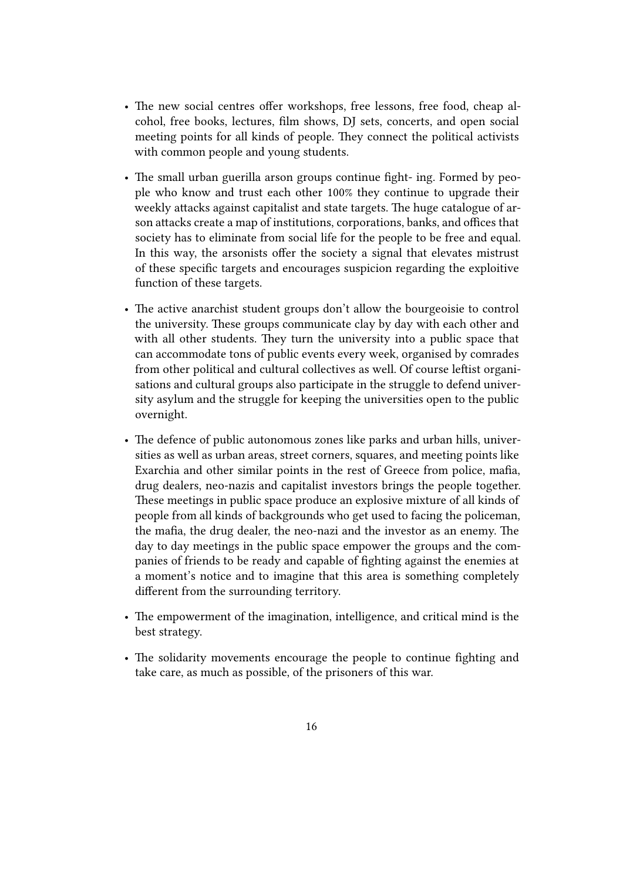- The new social centres offer workshops, free lessons, free food, cheap alcohol, free books, lectures, film shows, DJ sets, concerts, and open social meeting points for all kinds of people. They connect the political activists with common people and young students.
- The small urban guerilla arson groups continue fight- ing. Formed by people who know and trust each other 100% they continue to upgrade their weekly attacks against capitalist and state targets. The huge catalogue of arson attacks create a map of institutions, corporations, banks, and offices that society has to eliminate from social life for the people to be free and equal. In this way, the arsonists offer the society a signal that elevates mistrust of these specific targets and encourages suspicion regarding the exploitive function of these targets.
- The active anarchist student groups don't allow the bourgeoisie to control the university. These groups communicate clay by day with each other and with all other students. They turn the university into a public space that can accommodate tons of public events every week, organised by comrades from other political and cultural collectives as well. Of course leftist organisations and cultural groups also participate in the struggle to defend university asylum and the struggle for keeping the universities open to the public overnight.
- The defence of public autonomous zones like parks and urban hills, universities as well as urban areas, street corners, squares, and meeting points like Exarchia and other similar points in the rest of Greece from police, mafia, drug dealers, neo-nazis and capitalist investors brings the people together. These meetings in public space produce an explosive mixture of all kinds of people from all kinds of backgrounds who get used to facing the policeman, the mafia, the drug dealer, the neo-nazi and the investor as an enemy. The day to day meetings in the public space empower the groups and the companies of friends to be ready and capable of fighting against the enemies at a moment's notice and to imagine that this area is something completely different from the surrounding territory.
- The empowerment of the imagination, intelligence, and critical mind is the best strategy.
- The solidarity movements encourage the people to continue fighting and take care, as much as possible, of the prisoners of this war.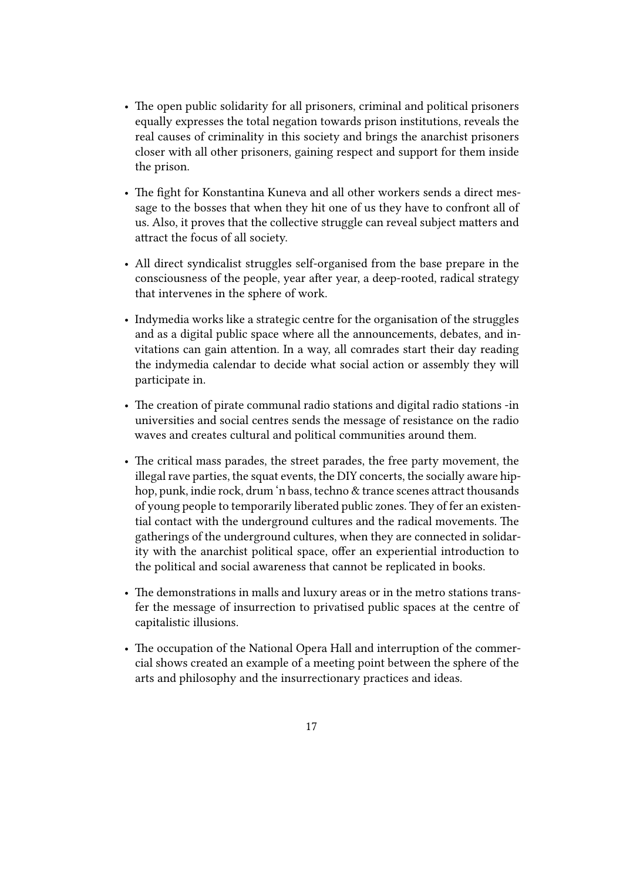- The open public solidarity for all prisoners, criminal and political prisoners equally expresses the total negation towards prison institutions, reveals the real causes of criminality in this society and brings the anarchist prisoners closer with all other prisoners, gaining respect and support for them inside the prison.
- The fight for Konstantina Kuneva and all other workers sends a direct message to the bosses that when they hit one of us they have to confront all of us. Also, it proves that the collective struggle can reveal subject matters and attract the focus of all society.
- All direct syndicalist struggles self-organised from the base prepare in the consciousness of the people, year after year, a deep-rooted, radical strategy that intervenes in the sphere of work.
- Indymedia works like a strategic centre for the organisation of the struggles and as a digital public space where all the announcements, debates, and invitations can gain attention. In a way, all comrades start their day reading the indymedia calendar to decide what social action or assembly they will participate in.
- The creation of pirate communal radio stations and digital radio stations -in universities and social centres sends the message of resistance on the radio waves and creates cultural and political communities around them.
- The critical mass parades, the street parades, the free party movement, the illegal rave parties, the squat events, the DIY concerts, the socially aware hiphop, punk, indie rock, drum 'n bass, techno & trance scenes attract thousands of young people to temporarily liberated public zones. They of fer an existential contact with the underground cultures and the radical movements. The gatherings of the underground cultures, when they are connected in solidarity with the anarchist political space, offer an experiential introduction to the political and social awareness that cannot be replicated in books.
- The demonstrations in malls and luxury areas or in the metro stations transfer the message of insurrection to privatised public spaces at the centre of capitalistic illusions.
- The occupation of the National Opera Hall and interruption of the commercial shows created an example of a meeting point between the sphere of the arts and philosophy and the insurrectionary practices and ideas.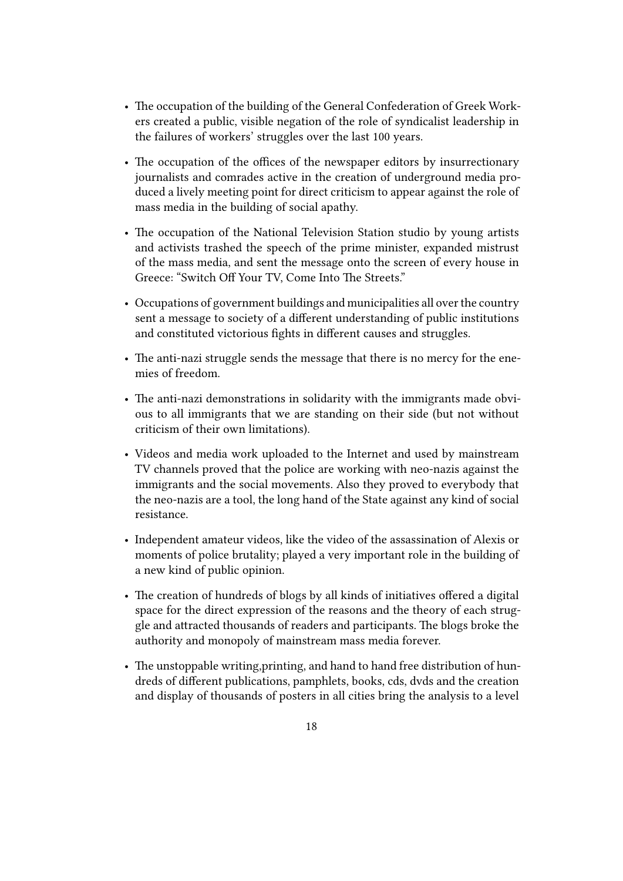- The occupation of the building of the General Confederation of Greek Workers created a public, visible negation of the role of syndicalist leadership in the failures of workers' struggles over the last 100 years.
- The occupation of the offices of the newspaper editors by insurrectionary journalists and comrades active in the creation of underground media produced a lively meeting point for direct criticism to appear against the role of mass media in the building of social apathy.
- The occupation of the National Television Station studio by young artists and activists trashed the speech of the prime minister, expanded mistrust of the mass media, and sent the message onto the screen of every house in Greece: "Switch Off Your TV, Come Into The Streets."
- Occupations of government buildings and municipalities all over the country sent a message to society of a different understanding of public institutions and constituted victorious fights in different causes and struggles.
- The anti-nazi struggle sends the message that there is no mercy for the enemies of freedom.
- The anti-nazi demonstrations in solidarity with the immigrants made obvious to all immigrants that we are standing on their side (but not without criticism of their own limitations).
- Videos and media work uploaded to the Internet and used by mainstream TV channels proved that the police are working with neo-nazis against the immigrants and the social movements. Also they proved to everybody that the neo-nazis are a tool, the long hand of the State against any kind of social resistance.
- Independent amateur videos, like the video of the assassination of Alexis or moments of police brutality; played a very important role in the building of a new kind of public opinion.
- The creation of hundreds of blogs by all kinds of initiatives offered a digital space for the direct expression of the reasons and the theory of each struggle and attracted thousands of readers and participants. The blogs broke the authority and monopoly of mainstream mass media forever.
- The unstoppable writing,printing, and hand to hand free distribution of hundreds of different publications, pamphlets, books, cds, dvds and the creation and display of thousands of posters in all cities bring the analysis to a level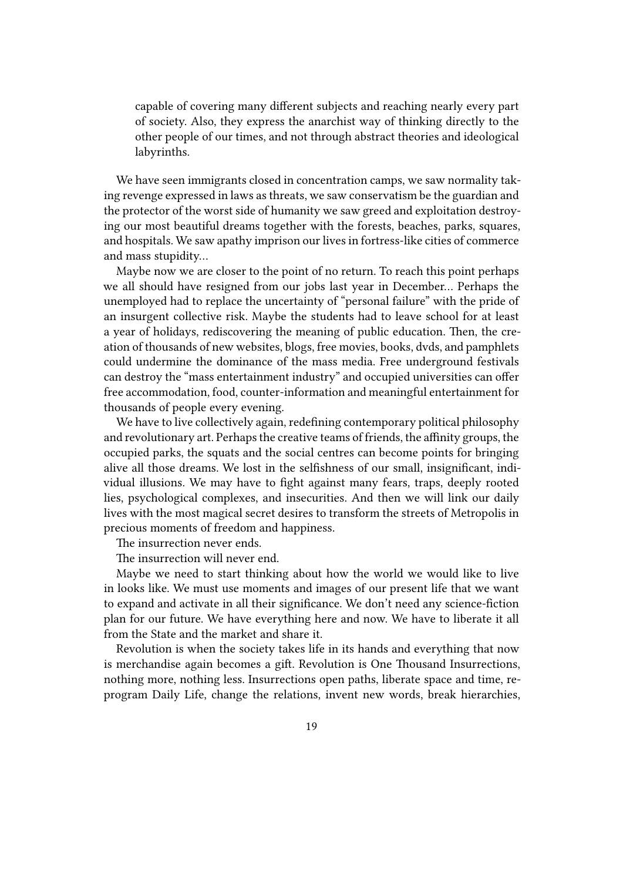capable of covering many different subjects and reaching nearly every part of society. Also, they express the anarchist way of thinking directly to the other people of our times, and not through abstract theories and ideological labyrinths.

We have seen immigrants closed in concentration camps, we saw normality taking revenge expressed in laws as threats, we saw conservatism be the guardian and the protector of the worst side of humanity we saw greed and exploitation destroying our most beautiful dreams together with the forests, beaches, parks, squares, and hospitals. We saw apathy imprison our lives in fortress-like cities of commerce and mass stupidity…

Maybe now we are closer to the point of no return. To reach this point perhaps we all should have resigned from our jobs last year in December… Perhaps the unemployed had to replace the uncertainty of "personal failure" with the pride of an insurgent collective risk. Maybe the students had to leave school for at least a year of holidays, rediscovering the meaning of public education. Then, the creation of thousands of new websites, blogs, free movies, books, dvds, and pamphlets could undermine the dominance of the mass media. Free underground festivals can destroy the "mass entertainment industry" and occupied universities can offer free accommodation, food, counter-information and meaningful entertainment for thousands of people every evening.

We have to live collectively again, redefining contemporary political philosophy and revolutionary art. Perhaps the creative teams of friends, the affinity groups, the occupied parks, the squats and the social centres can become points for bringing alive all those dreams. We lost in the selfishness of our small, insignificant, individual illusions. We may have to fight against many fears, traps, deeply rooted lies, psychological complexes, and insecurities. And then we will link our daily lives with the most magical secret desires to transform the streets of Metropolis in precious moments of freedom and happiness.

The insurrection never ends.

The insurrection will never end.

Maybe we need to start thinking about how the world we would like to live in looks like. We must use moments and images of our present life that we want to expand and activate in all their significance. We don't need any science-fiction plan for our future. We have everything here and now. We have to liberate it all from the State and the market and share it.

Revolution is when the society takes life in its hands and everything that now is merchandise again becomes a gift. Revolution is One Thousand Insurrections, nothing more, nothing less. Insurrections open paths, liberate space and time, reprogram Daily Life, change the relations, invent new words, break hierarchies,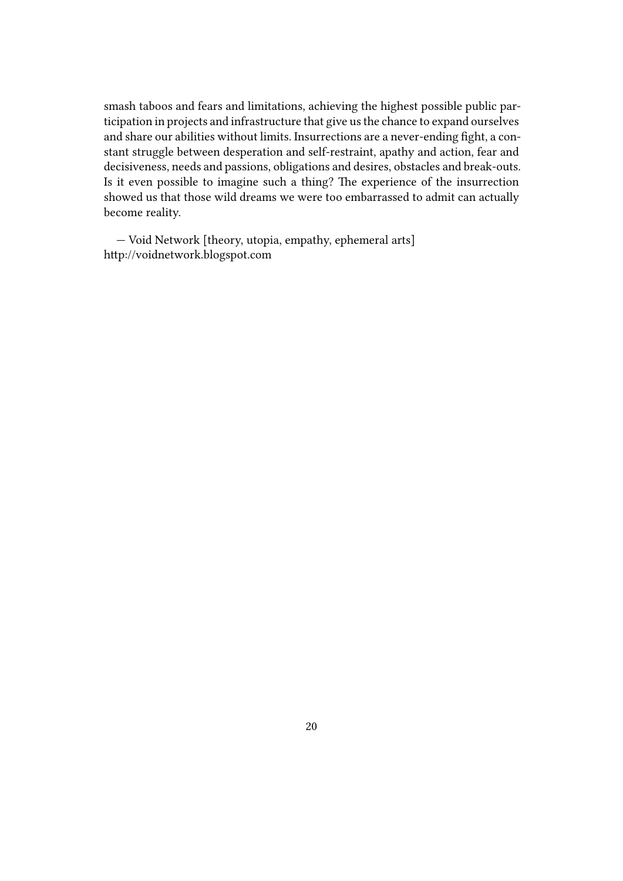smash taboos and fears and limitations, achieving the highest possible public participation in projects and infrastructure that give us the chance to expand ourselves and share our abilities without limits. Insurrections are a never-ending fight, a constant struggle between desperation and self-restraint, apathy and action, fear and decisiveness, needs and passions, obligations and desires, obstacles and break-outs. Is it even possible to imagine such a thing? The experience of the insurrection showed us that those wild dreams we were too embarrassed to admit can actually become reality.

— Void Network [theory, utopia, empathy, ephemeral arts] http://voidnetwork.blogspot.com